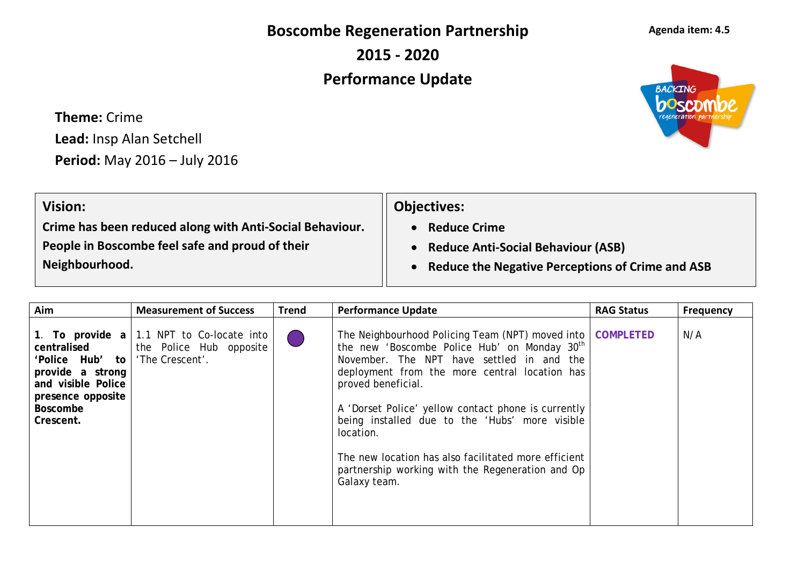**Boscombe Regeneration Partnership**

**2015 - 2020**

## **Performance Update**

**Theme:** Crime **Lead:** Insp Alan Setchell **Period:** May 2016 – July 2016

| <b>Vision:</b>                                           | <b>Objectives:</b>                                 |
|----------------------------------------------------------|----------------------------------------------------|
| Crime has been reduced along with Anti-Social Behaviour. | <b>Reduce Crime</b>                                |
| People in Boscombe feel safe and proud of their          | <b>Reduce Anti-Social Behaviour (ASB)</b>          |
| Neighbourhood.                                           | • Reduce the Negative Perceptions of Crime and ASB |
|                                                          |                                                    |

| Aim                                                                                                                                | <b>Measurement of Success</b>                                                                  | <b>Trend</b> | <b>Performance Update</b>                                                                                                                                                                                                                                                                                                                                                                                                                                                                      | <b>RAG Status</b> | <b>Frequency</b> |
|------------------------------------------------------------------------------------------------------------------------------------|------------------------------------------------------------------------------------------------|--------------|------------------------------------------------------------------------------------------------------------------------------------------------------------------------------------------------------------------------------------------------------------------------------------------------------------------------------------------------------------------------------------------------------------------------------------------------------------------------------------------------|-------------------|------------------|
| centralised<br>'Police Hub'<br>to  <br>provide a strong<br>and visible Police<br>presence opposite<br><b>Boscombe</b><br>Crescent. | 1. To provide $a \mid 1.1$ NPT to Co-locate into<br>the Police Hub opposite<br>'The Crescent'. |              | The Neighbourhood Policing Team (NPT) moved into   COMPLETED<br>the new 'Boscombe Police Hub' on Monday 30 <sup>th</sup><br>November. The NPT have settled in and the<br>deployment from the more central location has<br>proved beneficial.<br>A 'Dorset Police' yellow contact phone is currently<br>being installed due to the 'Hubs' more visible<br>location.<br>The new location has also facilitated more efficient<br>partnership working with the Regeneration and Op<br>Galaxy team. |                   | N/A              |



## **Agenda item: 4.5**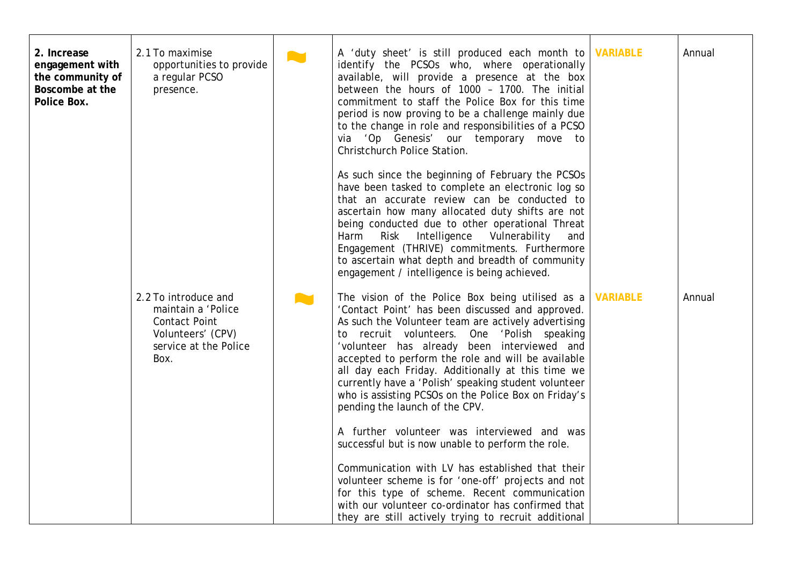| 2. Increase<br>engagement with<br>the community of<br>Boscombe at the<br>Police Box. | 2.1 To maximise<br>opportunities to provide<br>a regular PCSO<br>presence.                                               | <b>Aut</b> | A 'duty sheet' is still produced each month to<br>identify the PCSOs who, where operationally<br>available, will provide a presence at the box<br>between the hours of 1000 - 1700. The initial<br>commitment to staff the Police Box for this time<br>period is now proving to be a challenge mainly due<br>to the change in role and responsibilities of a PCSO<br>via 'Op Genesis' our temporary move to<br>Christchurch Police Station.                                                                               | <b>VARIABLE</b> | Annual |
|--------------------------------------------------------------------------------------|--------------------------------------------------------------------------------------------------------------------------|------------|---------------------------------------------------------------------------------------------------------------------------------------------------------------------------------------------------------------------------------------------------------------------------------------------------------------------------------------------------------------------------------------------------------------------------------------------------------------------------------------------------------------------------|-----------------|--------|
|                                                                                      |                                                                                                                          |            | As such since the beginning of February the PCSOs<br>have been tasked to complete an electronic log so<br>that an accurate review can be conducted to<br>ascertain how many allocated duty shifts are not<br>being conducted due to other operational Threat<br>Risk Intelligence Vulnerability<br>Harm<br>and<br>Engagement (THRIVE) commitments. Furthermore<br>to ascertain what depth and breadth of community<br>engagement / intelligence is being achieved.                                                        |                 |        |
|                                                                                      | 2.2 To introduce and<br>maintain a 'Police<br><b>Contact Point</b><br>Volunteers' (CPV)<br>service at the Police<br>Box. |            | The vision of the Police Box being utilised as a<br>'Contact Point' has been discussed and approved.<br>As such the Volunteer team are actively advertising<br>recruit volunteers. One 'Polish speaking<br>to<br>'volunteer has already been interviewed and<br>accepted to perform the role and will be available<br>all day each Friday. Additionally at this time we<br>currently have a 'Polish' speaking student volunteer<br>who is assisting PCSOs on the Police Box on Friday's<br>pending the launch of the CPV. | <b>VARIABLE</b> | Annual |
|                                                                                      |                                                                                                                          |            | A further volunteer was interviewed and was<br>successful but is now unable to perform the role.<br>Communication with LV has established that their<br>volunteer scheme is for 'one-off' projects and not<br>for this type of scheme. Recent communication<br>with our volunteer co-ordinator has confirmed that<br>they are still actively trying to recruit additional                                                                                                                                                 |                 |        |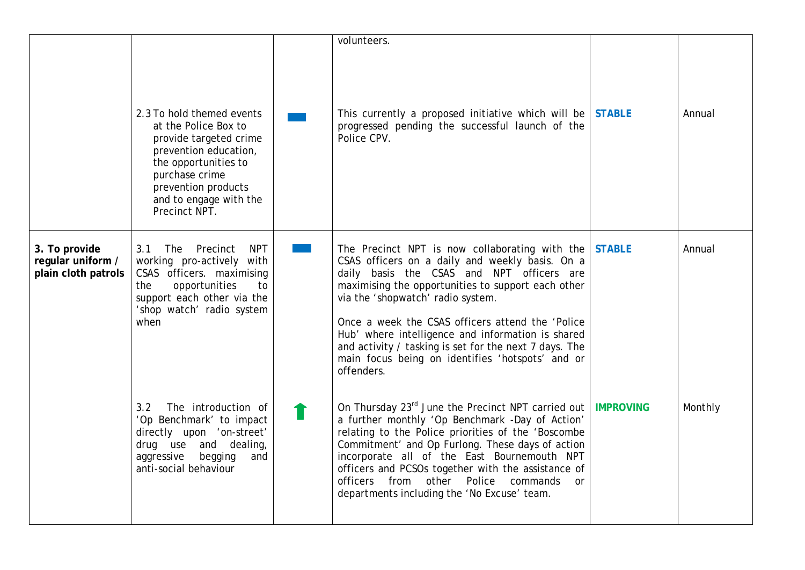|                                                           |                                                                                                                                                                                                                  | volunteers.                                                                                                                                                                                                                                                                                                                                                                                                                                                                           |                  |         |
|-----------------------------------------------------------|------------------------------------------------------------------------------------------------------------------------------------------------------------------------------------------------------------------|---------------------------------------------------------------------------------------------------------------------------------------------------------------------------------------------------------------------------------------------------------------------------------------------------------------------------------------------------------------------------------------------------------------------------------------------------------------------------------------|------------------|---------|
|                                                           | 2.3 To hold themed events<br>at the Police Box to<br>provide targeted crime<br>prevention education,<br>the opportunities to<br>purchase crime<br>prevention products<br>and to engage with the<br>Precinct NPT. | This currently a proposed initiative which will be STABLE<br>progressed pending the successful launch of the<br>Police CPV.                                                                                                                                                                                                                                                                                                                                                           |                  | Annual  |
| 3. To provide<br>regular uniform /<br>plain cloth patrols | <b>NPT</b><br>3.1<br>The Precinct<br>working pro-actively with<br>CSAS officers. maximising<br>opportunities<br>the<br>to<br>support each other via the<br>'shop watch' radio system<br>when                     | The Precinct NPT is now collaborating with the STABLE<br>CSAS officers on a daily and weekly basis. On a<br>daily basis the CSAS and NPT officers are<br>maximising the opportunities to support each other<br>via the 'shopwatch' radio system.<br>Once a week the CSAS officers attend the 'Police<br>Hub' where intelligence and information is shared<br>and activity / tasking is set for the next 7 days. The<br>main focus being on identifies 'hotspots' and or<br>offenders. |                  | Annual  |
|                                                           | The introduction of<br>3.2<br>'Op Benchmark' to impact<br>directly upon 'on-street'<br>drug use and dealing,<br>aggressive<br>begging<br>and<br>anti-social behaviour                                            | On Thursday 23 $^{rd}$ June the Precinct NPT carried out  <br>a further monthly 'Op Benchmark -Day of Action'<br>relating to the Police priorities of the 'Boscombe<br>Commitment' and Op Furlong. These days of action<br>incorporate all of the East Bournemouth NPT<br>officers and PCSOs together with the assistance of<br>officers from other Police commands<br><sub>or</sub><br>departments including the 'No Excuse' team.                                                   | <b>IMPROVING</b> | Monthly |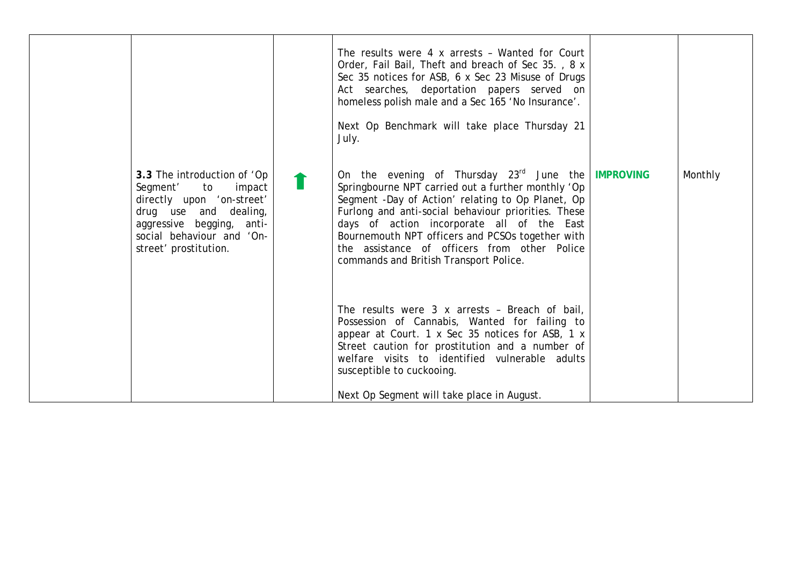| 3.3 The introduction of 'Op<br>Segment'<br>to<br>impact<br>directly upon 'on-street'<br>drug use and dealing,<br>aggressive begging, anti-<br>social behaviour and 'On-<br>street' prostitution. | The results were 4 x arrests - Wanted for Court<br>Order, Fail Bail, Theft and breach of Sec 35., 8 x<br>Sec 35 notices for ASB, 6 x Sec 23 Misuse of Drugs<br>Act searches, deportation papers served on<br>homeless polish male and a Sec 165 'No Insurance'.<br>Next Op Benchmark will take place Thursday 21<br>July.<br>On the evening of Thursday $23^{rd}$ June the IMPROVING<br>Springbourne NPT carried out a further monthly 'Op<br>Segment -Day of Action' relating to Op Planet, Op<br>Furlong and anti-social behaviour priorities. These<br>days of action incorporate all of the East<br>Bournemouth NPT officers and PCSOs together with<br>the assistance of officers from other Police<br>commands and British Transport Police.<br>The results were 3 x arrests - Breach of bail,<br>Possession of Cannabis, Wanted for failing to<br>appear at Court. 1 x Sec 35 notices for ASB, 1 x<br>Street caution for prostitution and a number of<br>welfare visits to identified vulnerable adults<br>susceptible to cuckooing. | Monthly |
|--------------------------------------------------------------------------------------------------------------------------------------------------------------------------------------------------|---------------------------------------------------------------------------------------------------------------------------------------------------------------------------------------------------------------------------------------------------------------------------------------------------------------------------------------------------------------------------------------------------------------------------------------------------------------------------------------------------------------------------------------------------------------------------------------------------------------------------------------------------------------------------------------------------------------------------------------------------------------------------------------------------------------------------------------------------------------------------------------------------------------------------------------------------------------------------------------------------------------------------------------------|---------|
|                                                                                                                                                                                                  | Next Op Segment will take place in August.                                                                                                                                                                                                                                                                                                                                                                                                                                                                                                                                                                                                                                                                                                                                                                                                                                                                                                                                                                                                  |         |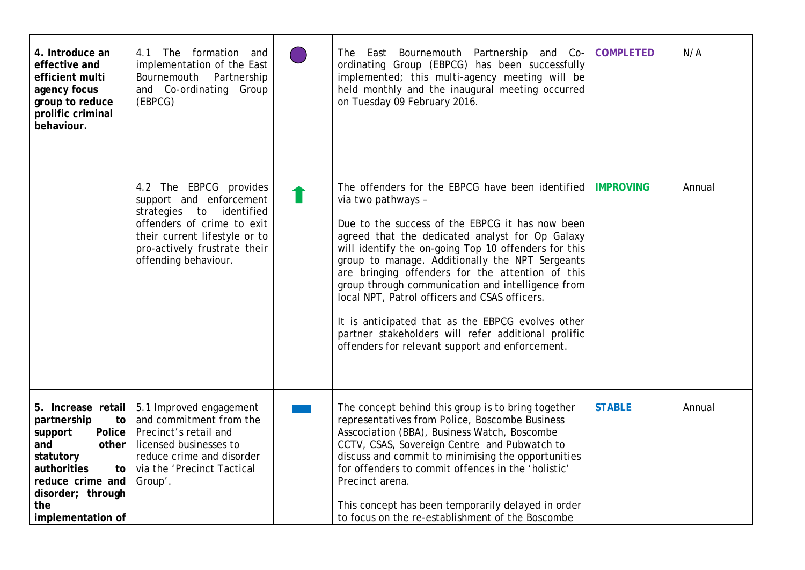| 4. Introduce an<br>effective and<br>efficient multi<br>agency focus<br>group to reduce<br>prolific criminal<br>behaviour.                           | The formation and<br>4.1<br>implementation of the East<br>Bournemouth Partnership<br>and Co-ordinating Group<br>(EBPCG)                                                                                   | The East Bournemouth Partnership and Co-<br>ordinating Group (EBPCG) has been successfully<br>implemented; this multi-agency meeting will be<br>held monthly and the inaugural meeting occurred<br>on Tuesday 09 February 2016.                                                                                                                                                                                                                                                                                                                                                                                  | <b>COMPLETED</b> | N/A    |
|-----------------------------------------------------------------------------------------------------------------------------------------------------|-----------------------------------------------------------------------------------------------------------------------------------------------------------------------------------------------------------|------------------------------------------------------------------------------------------------------------------------------------------------------------------------------------------------------------------------------------------------------------------------------------------------------------------------------------------------------------------------------------------------------------------------------------------------------------------------------------------------------------------------------------------------------------------------------------------------------------------|------------------|--------|
|                                                                                                                                                     | 4.2 The EBPCG provides<br>support and enforcement<br>strategies<br>to identified<br>offenders of crime to exit<br>their current lifestyle or to<br>pro-actively frustrate their<br>offending behaviour.   | The offenders for the EBPCG have been identified<br>via two pathways -<br>Due to the success of the EBPCG it has now been<br>agreed that the dedicated analyst for Op Galaxy<br>will identify the on-going Top 10 offenders for this<br>group to manage. Additionally the NPT Sergeants<br>are bringing offenders for the attention of this<br>group through communication and intelligence from<br>local NPT, Patrol officers and CSAS officers.<br>It is anticipated that as the EBPCG evolves other<br>partner stakeholders will refer additional prolific<br>offenders for relevant support and enforcement. | <b>IMPROVING</b> | Annual |
| partnership<br>to<br>support<br>and<br>other<br>statutory<br>authorities<br>to<br>reduce crime and<br>disorder; through<br>the<br>implementation of | 5. Increase retail   5.1 Improved engagement<br>and commitment from the<br>Police   Precinct's retail and<br>licensed businesses to<br>reduce crime and disorder<br>via the 'Precinct Tactical<br>Group'. | The concept behind this group is to bring together<br>representatives from Police, Boscombe Business<br>Asscociation (BBA), Business Watch, Boscombe<br>CCTV, CSAS, Sovereign Centre and Pubwatch to<br>discuss and commit to minimising the opportunities<br>for offenders to commit offences in the 'holistic'<br>Precinct arena.<br>This concept has been temporarily delayed in order<br>to focus on the re-establishment of the Boscombe                                                                                                                                                                    | <b>STABLE</b>    | Annual |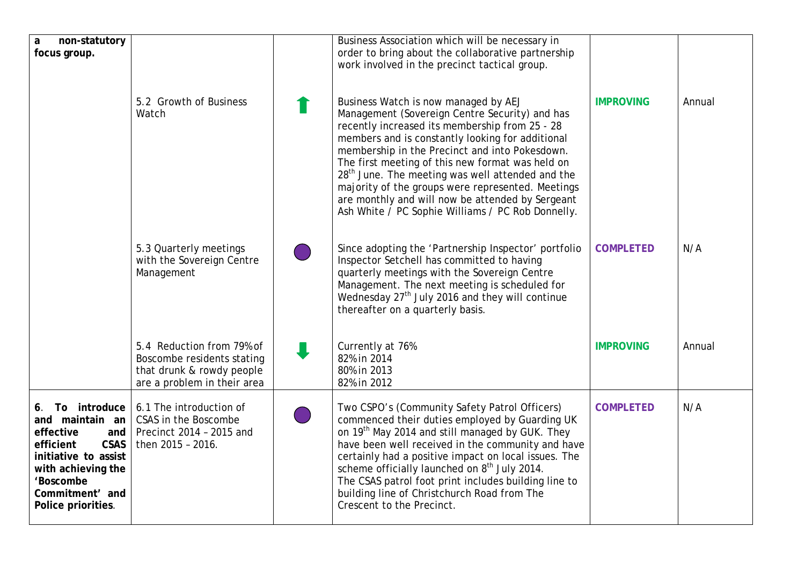| non-statutory<br>a                                                                                                                                                                     |                                                                                                                     | Business Association which will be necessary in                                                                                                                                                                                                                                                                                                                                                                                                                                                                                  |                  |        |
|----------------------------------------------------------------------------------------------------------------------------------------------------------------------------------------|---------------------------------------------------------------------------------------------------------------------|----------------------------------------------------------------------------------------------------------------------------------------------------------------------------------------------------------------------------------------------------------------------------------------------------------------------------------------------------------------------------------------------------------------------------------------------------------------------------------------------------------------------------------|------------------|--------|
| focus group.                                                                                                                                                                           |                                                                                                                     | order to bring about the collaborative partnership<br>work involved in the precinct tactical group.                                                                                                                                                                                                                                                                                                                                                                                                                              |                  |        |
|                                                                                                                                                                                        |                                                                                                                     |                                                                                                                                                                                                                                                                                                                                                                                                                                                                                                                                  |                  |        |
|                                                                                                                                                                                        | 5.2 Growth of Business<br>Watch                                                                                     | Business Watch is now managed by AEJ<br>Management (Sovereign Centre Security) and has<br>recently increased its membership from 25 - 28<br>members and is constantly looking for additional<br>membership in the Precinct and into Pokesdown.<br>The first meeting of this new format was held on<br>28 <sup>th</sup> June. The meeting was well attended and the<br>majority of the groups were represented. Meetings<br>are monthly and will now be attended by Sergeant<br>Ash White / PC Sophie Williams / PC Rob Donnelly. | <b>IMPROVING</b> | Annual |
|                                                                                                                                                                                        | 5.3 Quarterly meetings<br>with the Sovereign Centre<br>Management                                                   | Since adopting the 'Partnership Inspector' portfolio<br>Inspector Setchell has committed to having<br>quarterly meetings with the Sovereign Centre<br>Management. The next meeting is scheduled for<br>Wednesday 27 <sup>th</sup> July 2016 and they will continue<br>thereafter on a quarterly basis.                                                                                                                                                                                                                           | <b>COMPLETED</b> | N/A    |
|                                                                                                                                                                                        | 5.4 Reduction from 79% of<br>Boscombe residents stating<br>that drunk & rowdy people<br>are a problem in their area | Currently at 76%<br>82% in 2014<br>80% in 2013<br>82% in 2012                                                                                                                                                                                                                                                                                                                                                                                                                                                                    | <b>IMPROVING</b> | Annual |
| 6. To introduce<br>and maintain an<br>effective<br>and<br>efficient<br><b>CSAS</b><br>initiative to assist<br>with achieving the<br>'Boscombe<br>Commitment' and<br>Police priorities. | 6.1 The introduction of<br>CSAS in the Boscombe<br>Precinct 2014 - 2015 and<br>then 2015 - 2016.                    | Two CSPO's (Community Safety Patrol Officers)<br>commenced their duties employed by Guarding UK<br>on 19 <sup>th</sup> May 2014 and still managed by GUK. They<br>have been well received in the community and have<br>certainly had a positive impact on local issues. The<br>scheme officially launched on 8 <sup>th</sup> July 2014.<br>The CSAS patrol foot print includes building line to<br>building line of Christchurch Road from The<br>Crescent to the Precinct.                                                      | <b>COMPLETED</b> | N/A    |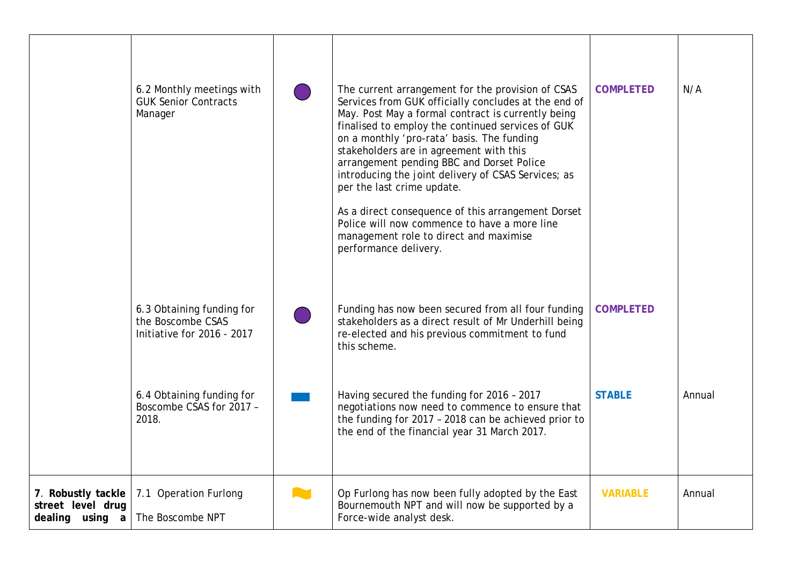|                                                            | 6.2 Monthly meetings with<br><b>GUK Senior Contracts</b><br>Manager          |              | The current arrangement for the provision of CSAS<br>Services from GUK officially concludes at the end of<br>May. Post May a formal contract is currently being<br>finalised to employ the continued services of GUK<br>on a monthly 'pro-rata' basis. The funding<br>stakeholders are in agreement with this<br>arrangement pending BBC and Dorset Police<br>introducing the joint delivery of CSAS Services; as<br>per the last crime update.<br>As a direct consequence of this arrangement Dorset<br>Police will now commence to have a more line<br>management role to direct and maximise<br>performance delivery. | <b>COMPLETED</b> | N/A    |
|------------------------------------------------------------|------------------------------------------------------------------------------|--------------|--------------------------------------------------------------------------------------------------------------------------------------------------------------------------------------------------------------------------------------------------------------------------------------------------------------------------------------------------------------------------------------------------------------------------------------------------------------------------------------------------------------------------------------------------------------------------------------------------------------------------|------------------|--------|
|                                                            | 6.3 Obtaining funding for<br>the Boscombe CSAS<br>Initiative for 2016 - 2017 |              | Funding has now been secured from all four funding<br>stakeholders as a direct result of Mr Underhill being<br>re-elected and his previous commitment to fund<br>this scheme.                                                                                                                                                                                                                                                                                                                                                                                                                                            | <b>COMPLETED</b> |        |
|                                                            | 6.4 Obtaining funding for<br>Boscombe CSAS for 2017 -<br>2018.               |              | Having secured the funding for 2016 - 2017<br>negotiations now need to commence to ensure that<br>the funding for 2017 - 2018 can be achieved prior to<br>the end of the financial year 31 March 2017.                                                                                                                                                                                                                                                                                                                                                                                                                   | <b>STABLE</b>    | Annual |
| 7. Robustly tackle<br>street level drug<br>dealing using a | 7.1 Operation Furlong<br>The Boscombe NPT                                    | <b>COLLE</b> | Op Furlong has now been fully adopted by the East<br>Bournemouth NPT and will now be supported by a<br>Force-wide analyst desk.                                                                                                                                                                                                                                                                                                                                                                                                                                                                                          | <b>VARIABLE</b>  | Annual |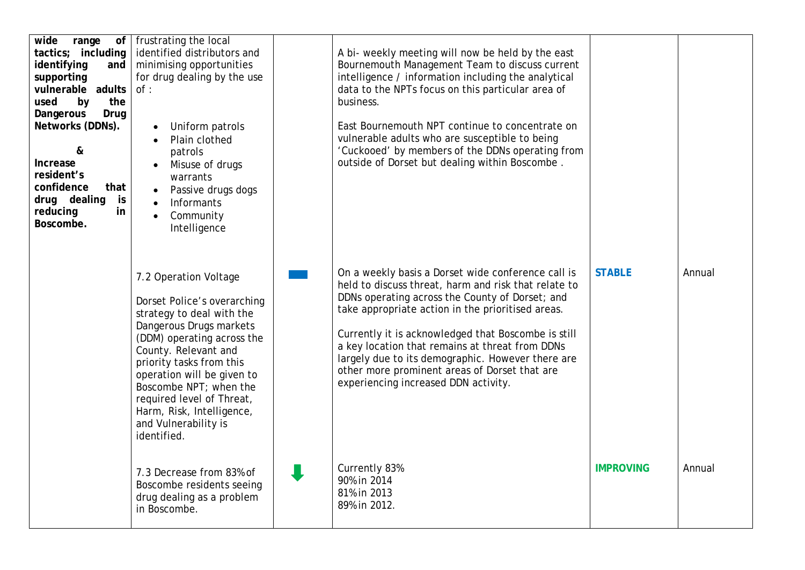| wide<br>range<br>tactics; including<br>identifying<br>and<br>supporting<br>vulnerable adults<br>used<br>by<br>the<br>Dangerous<br>Drug<br>Networks (DDNs).<br>&<br>Increase<br>resident's<br>confidence<br>that<br>is<br>drug dealing<br>reducing<br>in<br>Boscombe. | of   frustrating the local<br>identified distributors and<br>minimising opportunities<br>for drug dealing by the use<br>of:<br>Uniform patrols<br>Plain clothed<br>patrols<br>Misuse of drugs<br>warrants<br>Passive drugs dogs<br>Informants<br>Community<br>$\bullet$<br>Intelligence                                                                 | A bi- weekly meeting will now be held by the east<br>Bournemouth Management Team to discuss current<br>intelligence / information including the analytical<br>data to the NPTs focus on this particular area of<br>business.<br>East Bournemouth NPT continue to concentrate on<br>vulnerable adults who are susceptible to being<br>'Cuckooed' by members of the DDNs operating from<br>outside of Dorset but dealing within Boscombe.                                    |                  |        |
|----------------------------------------------------------------------------------------------------------------------------------------------------------------------------------------------------------------------------------------------------------------------|---------------------------------------------------------------------------------------------------------------------------------------------------------------------------------------------------------------------------------------------------------------------------------------------------------------------------------------------------------|----------------------------------------------------------------------------------------------------------------------------------------------------------------------------------------------------------------------------------------------------------------------------------------------------------------------------------------------------------------------------------------------------------------------------------------------------------------------------|------------------|--------|
|                                                                                                                                                                                                                                                                      | 7.2 Operation Voltage<br>Dorset Police's overarching<br>strategy to deal with the<br>Dangerous Drugs markets<br>(DDM) operating across the<br>County. Relevant and<br>priority tasks from this<br>operation will be given to<br>Boscombe NPT; when the<br>required level of Threat,<br>Harm, Risk, Intelligence,<br>and Vulnerability is<br>identified. | On a weekly basis a Dorset wide conference call is<br>held to discuss threat, harm and risk that relate to<br>DDNs operating across the County of Dorset; and<br>take appropriate action in the prioritised areas.<br>Currently it is acknowledged that Boscombe is still<br>a key location that remains at threat from DDNs<br>largely due to its demographic. However there are<br>other more prominent areas of Dorset that are<br>experiencing increased DDN activity. | <b>STABLE</b>    | Annual |
|                                                                                                                                                                                                                                                                      | 7.3 Decrease from 83% of<br>Boscombe residents seeing<br>drug dealing as a problem<br>in Boscombe.                                                                                                                                                                                                                                                      | Currently 83%<br>90% in 2014<br>81% in 2013<br>89% in 2012.                                                                                                                                                                                                                                                                                                                                                                                                                | <b>IMPROVING</b> | Annual |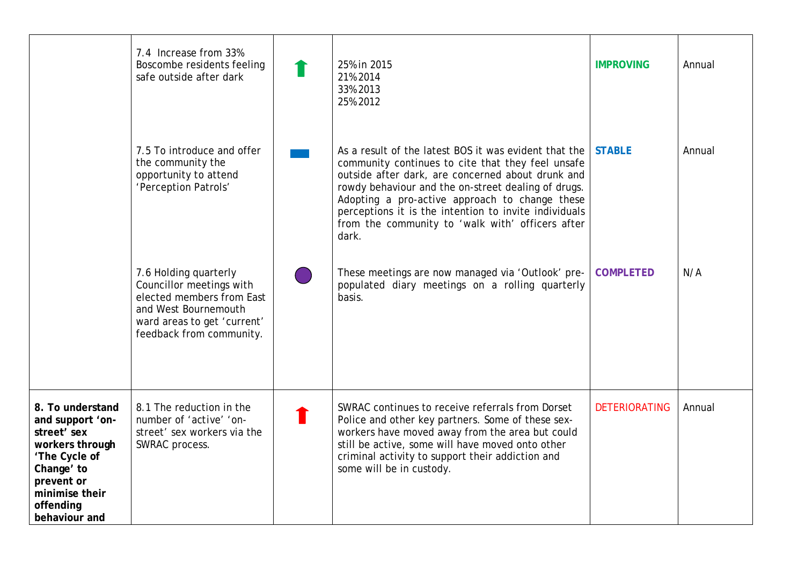|                                                                                                                                                                     | 7.4 Increase from 33%<br>Boscombe residents feeling<br>safe outside after dark                                                                                    | 25% in 2015<br>21% 2014<br>33% 2013<br>25% 2012                                                                                                                                                                                                                                                                                                                                                | <b>IMPROVING</b>     | Annual |
|---------------------------------------------------------------------------------------------------------------------------------------------------------------------|-------------------------------------------------------------------------------------------------------------------------------------------------------------------|------------------------------------------------------------------------------------------------------------------------------------------------------------------------------------------------------------------------------------------------------------------------------------------------------------------------------------------------------------------------------------------------|----------------------|--------|
|                                                                                                                                                                     | 7.5 To introduce and offer<br>the community the<br>opportunity to attend<br>'Perception Patrols'                                                                  | As a result of the latest BOS it was evident that the<br>community continues to cite that they feel unsafe<br>outside after dark, are concerned about drunk and<br>rowdy behaviour and the on-street dealing of drugs.<br>Adopting a pro-active approach to change these<br>perceptions it is the intention to invite individuals<br>from the community to 'walk with' officers after<br>dark. | <b>STABLE</b>        | Annual |
|                                                                                                                                                                     | 7.6 Holding quarterly<br>Councillor meetings with<br>elected members from East<br>and West Bournemouth<br>ward areas to get 'current'<br>feedback from community. | These meetings are now managed via 'Outlook' pre-<br>populated diary meetings on a rolling quarterly<br>basis.                                                                                                                                                                                                                                                                                 | <b>COMPLETED</b>     | N/A    |
| 8. To understand<br>and support 'on-<br>street' sex<br>workers through<br>'The Cycle of<br>Change' to<br>prevent or<br>minimise their<br>offending<br>behaviour and | 8.1 The reduction in the<br>number of 'active' 'on-<br>street' sex workers via the<br>SWRAC process.                                                              | SWRAC continues to receive referrals from Dorset<br>Police and other key partners. Some of these sex-<br>workers have moved away from the area but could<br>still be active, some will have moved onto other<br>criminal activity to support their addiction and<br>some will be in custody.                                                                                                   | <b>DETERIORATING</b> | Annual |